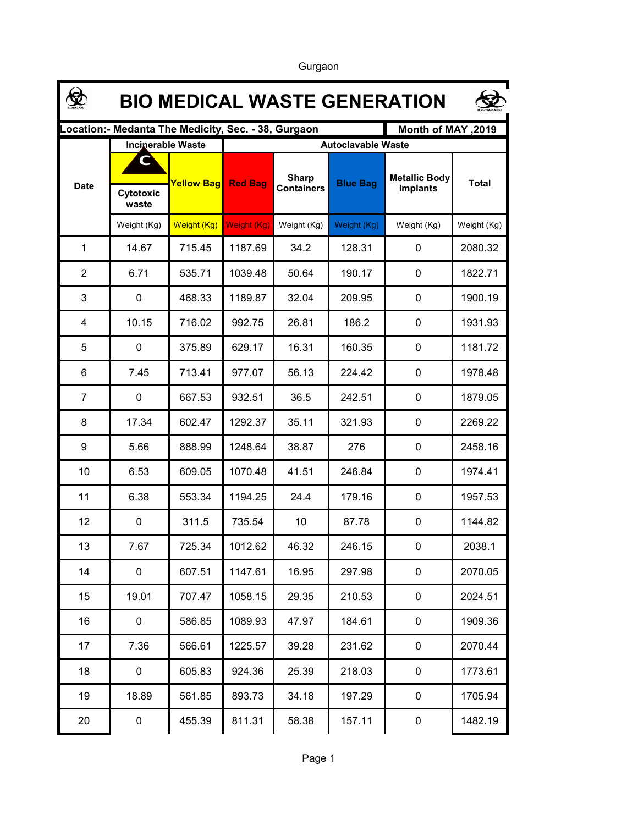❀ **BIO MEDICAL WASTE GENERATION Location:- Medanta The Medicity, Sec. - 38, Gurgaon Month of MAY ,2019 Incinerable Waste Autoclavable Waste CSharp Metallic Body**  Date **Pape The Yellow Bag Red Bag Containers Blue Bag The Bandamic Body** Total **Containers implants Cytotoxic implants Containers Cytotoxic implants waste** Weight (Kg) Neight (Kg) Weight (Kg) Weight (Kg) Weight (Kg) Weight (Kg) Weight (Kg) 1 14.67 715.45 1187.69 34.2 128.31 0 2080.32 2 6.71 535.71 1039.48 50.64 190.17 0 1822.71 3 0 468.33 1189.87 32.04 209.95 0 1900.19 4 10.15 716.02 992.75 26.81 186.2 0 1931.93 5 0 375.89 629.17 16.31 160.35 0 1181.72 6 7.45 713.41 977.07 56.13 224.42 0 1978.48 7 0 667.53 932.51 36.5 242.51 0 1879.05 8 17.34 602.47 1292.37 35.11 321.93 0 2269.22 9 | 5.66 | 888.99 | 1248.64 | 38.87 | 276 | 0 | 2458.16 10 6.53 609.05 1070.48 41.51 246.84 0 1974.41 11 | 6.38 | 553.34 | 1194.25 | 24.4 | 179.16 | 0 | 1957.53 12 0 311.5 735.54 10 87.78 0 1144.82 13 7.67 725.34 1012.62 46.32 246.15 0 2038.1 14 0 607.51 1147.61 16.95 297.98 0 2070.05 15 19.01 707.47 1058.15 29.35 210.53 0 2024.51 16 0 586.85 1089.93 47.97 184.61 0 1909.36 17 | 7.36 | 566.61 | 1225.57 | 39.28 | 231.62 | 0 | 2070.44 18 0 605.83 924.36 25.39 218.03 0 1773.61 19 | 18.89 | 561.85 | 893.73 | 34.18 | 197.29 | 0 | 1705.94 20 0 455.39 811.31 58.38 157.11 0 1482.19

Gurgaon